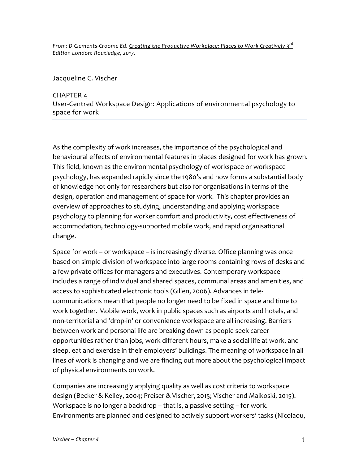*From:* D.Clements-Croome Ed. Creating the Productive Workplace: Places to Work Creatively 3<sup>rd</sup> *Edition London: Routledge, 2017.*

Jacqueline C. Vischer

## CHAPTER 4

User-Centred Workspace Design: Applications of environmental psychology to space for work

As the complexity of work increases, the importance of the psychological and behavioural effects of environmental features in places designed for work has grown. This field, known as the environmental psychology of workspace or workspace psychology, has expanded rapidly since the 1980's and now forms a substantial body of knowledge not only for researchers but also for organisations in terms of the design, operation and management of space for work. This chapter provides an overview of approaches to studying, understanding and applying workspace psychology to planning for worker comfort and productivity, cost effectiveness of accommodation, technology-supported mobile work, and rapid organisational change.

Space for work – or workspace – is increasingly diverse. Office planning was once based on simple division of workspace into large rooms containing rows of desks and a few private offices for managers and executives. Contemporary workspace includes a range of individual and shared spaces, communal areas and amenities, and access to sophisticated electronic tools (Gillen, 2006). Advances in telecommunications mean that people no longer need to be fixed in space and time to work together. Mobile work, work in public spaces such as airports and hotels, and non-territorial and 'drop-in' or convenience workspace are all increasing. Barriers between work and personal life are breaking down as people seek career opportunities rather than jobs, work different hours, make a social life at work, and sleep, eat and exercise in their employers' buildings. The meaning of workspace in all lines of work is changing and we are finding out more about the psychological impact of physical environments on work.

Companies are increasingly applying quality as well as cost criteria to workspace design (Becker & Kelley, 2004; Preiser & Vischer, 2015; Vischer and Malkoski, 2015). Workspace is no longer a backdrop  $-$  that is, a passive setting  $-$  for work. Environments are planned and designed to actively support workers' tasks (Nicolaou,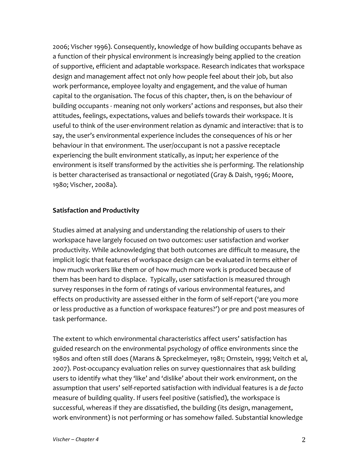2006; Vischer 1996). Consequently, knowledge of how building occupants behave as a function of their physical environment is increasingly being applied to the creation of supportive, efficient and adaptable workspace. Research indicates that workspace design and management affect not only how people feel about their job, but also work performance, employee loyalty and engagement, and the value of human capital to the organisation. The focus of this chapter, then, is on the behaviour of building occupants - meaning not only workers' actions and responses, but also their attitudes, feelings, expectations, values and beliefs towards their workspace. It is useful to think of the user-environment relation as dynamic and interactive: that is to say, the user's environmental experience includes the consequences of his or her behaviour in that environment. The user/occupant is not a passive receptacle experiencing the built environment statically, as input; her experience of the environment is itself transformed by the activities she is performing. The relationship is better characterised as transactional or negotiated (Gray & Daish, 1996; Moore, 1980; Vischer, 2008a).

## **Satisfaction and Productivity**

Studies aimed at analysing and understanding the relationship of users to their workspace have largely focused on two outcomes: user satisfaction and worker productivity. While acknowledging that both outcomes are difficult to measure, the implicit logic that features of workspace design can be evaluated in terms either of how much workers like them or of how much more work is produced because of them has been hard to displace. Typically, user satisfaction is measured through survey responses in the form of ratings of various environmental features, and effects on productivity are assessed either in the form of self-report ('are you more or less productive as a function of workspace features?') or pre and post measures of task performance.

The extent to which environmental characteristics affect users' satisfaction has guided research on the environmental psychology of office environments since the 1980s and often still does (Marans & Spreckelmeyer, 1981; Ornstein, 1999; Veitch et al, 2007). Post-occupancy evaluation relies on survey questionnaires that ask building users to identify what they 'like' and 'dislike' about their work environment, on the assumption that users' self-reported satisfaction with individual features is a de facto measure of building quality. If users feel positive (satisfied), the workspace is successful, whereas if they are dissatisfied, the building (its design, management, work environment) is not performing or has somehow failed. Substantial knowledge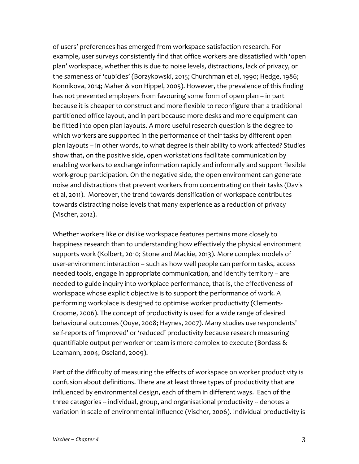of users' preferences has emerged from workspace satisfaction research. For example, user surveys consistently find that office workers are dissatisfied with 'open plan' workspace, whether this is due to noise levels, distractions, lack of privacy, or the sameness of 'cubicles' (Borzykowski, 2015; Churchman et al, 1990; Hedge, 1986; Konnikova, 2014; Maher & von Hippel, 2005). However, the prevalence of this finding has not prevented employers from favouring some form of open plan – in part because it is cheaper to construct and more flexible to reconfigure than a traditional partitioned office layout, and in part because more desks and more equipment can be fitted into open plan layouts. A more useful research question is the degree to which workers are supported in the performance of their tasks by different open plan layouts – in other words, to what degree is their ability to work affected? Studies show that, on the positive side, open workstations facilitate communication by enabling workers to exchange information rapidly and informally and support flexible work-group participation. On the negative side, the open environment can generate noise and distractions that prevent workers from concentrating on their tasks (Davis et al, 2011). Moreover, the trend towards densification of workspace contributes towards distracting noise levels that many experience as a reduction of privacy (Vischer, 2012).

Whether workers like or dislike workspace features pertains more closely to happiness research than to understanding how effectively the physical environment supports work (Kolbert, 2010; Stone and Mackie, 2013). More complex models of user-environment interaction – such as how well people can perform tasks, access needed tools, engage in appropriate communication, and identify territory – are needed to guide inquiry into workplace performance, that is, the effectiveness of workspace whose explicit objective is to support the performance of work. A performing workplace is designed to optimise worker productivity (Clements-Croome, 2006). The concept of productivity is used for a wide range of desired behavioural outcomes (Ouye, 2008; Haynes, 2007). Many studies use respondents' self-reports of 'improved' or 'reduced' productivity because research measuring guantifiable output per worker or team is more complex to execute (Bordass & Leamann, 2004; Oseland, 2009).

Part of the difficulty of measuring the effects of workspace on worker productivity is confusion about definitions. There are at least three types of productivity that are influenced by environmental design, each of them in different ways. Each of the three categories -- individual, group, and organisational productivity -- denotes a variation in scale of environmental influence (Vischer, 2006). Individual productivity is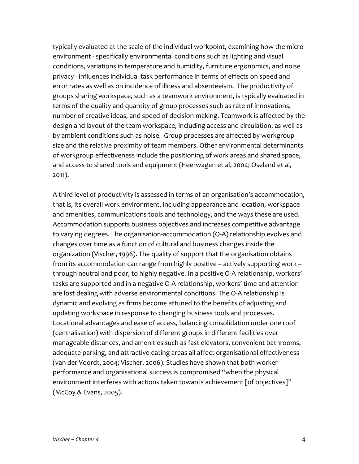typically evaluated at the scale of the individual workpoint, examining how the microenvironment - specifically environmental conditions such as lighting and visual conditions, variations in temperature and humidity, furniture ergonomics, and noise privacy - influences individual task performance in terms of effects on speed and error rates as well as on incidence of illness and absenteeism. The productivity of groups sharing workspace, such as a teamwork environment, is typically evaluated in terms of the quality and quantity of group processes such as rate of innovations, number of creative ideas, and speed of decision-making. Teamwork is affected by the design and layout of the team workspace, including access and circulation, as well as by ambient conditions such as noise. Group processes are affected by workgroup size and the relative proximity of team members. Other environmental determinants of workgroup effectiveness include the positioning of work areas and shared space, and access to shared tools and equipment (Heerwagen et al, 2004; Oseland et al, 2011).

A third level of productivity is assessed in terms of an organisation's accommodation, that is, its overall work environment, including appearance and location, workspace and amenities, communications tools and technology, and the ways these are used. Accommodation supports business objectives and increases competitive advantage to varying degrees. The organisation-accommodation (O-A) relationship evolves and changes over time as a function of cultural and business changes inside the organization (Vischer, 1996). The quality of support that the organisation obtains from its accommodation can range from highly positive  $-$  actively supporting work  $$ through neutral and poor, to highly negative. In a positive O-A relationship, workers' tasks are supported and in a negative O-A relationship, workers' time and attention are lost dealing with adverse environmental conditions. The O-A relationship is dynamic and evolving as firms become attuned to the benefits of adjusting and updating workspace in response to changing business tools and processes. Locational advantages and ease of access, balancing consolidation under one roof (centralisation) with dispersion of different groups in different facilities over manageable distances, and amenities such as fast elevators, convenient bathrooms, adequate parking, and attractive eating areas all affect organisational effectiveness (van der Voordt, 2004; Vischer, 2006). Studies have shown that both worker performance and organisational success is compromised "when the physical environment interferes with actions taken towards achievement  $\lceil$  of objectives]" (McCoy & Evans, 2005).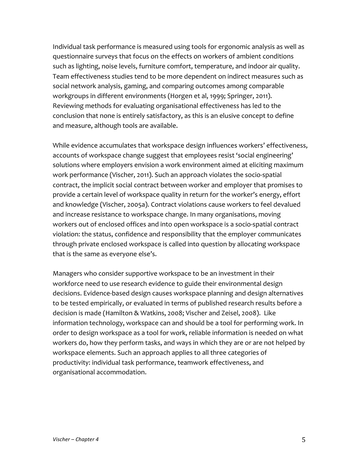Individual task performance is measured using tools for ergonomic analysis as well as questionnaire surveys that focus on the effects on workers of ambient conditions such as lighting, noise levels, furniture comfort, temperature, and indoor air quality. Team effectiveness studies tend to be more dependent on indirect measures such as social network analysis, gaming, and comparing outcomes among comparable workgroups in different environments (Horgen et al, 1999; Springer, 2011). Reviewing methods for evaluating organisational effectiveness has led to the conclusion that none is entirely satisfactory, as this is an elusive concept to define and measure, although tools are available.

While evidence accumulates that workspace design influences workers' effectiveness, accounts of workspace change suggest that employees resist 'social engineering' solutions where employers envision a work environment aimed at eliciting maximum work performance (Vischer, 2011). Such an approach violates the socio-spatial contract, the implicit social contract between worker and employer that promises to provide a certain level of workspace quality in return for the worker's energy, effort and knowledge (Vischer, 2005a). Contract violations cause workers to feel devalued and increase resistance to workspace change. In many organisations, moving workers out of enclosed offices and into open workspace is a socio-spatial contract violation: the status, confidence and responsibility that the employer communicates through private enclosed workspace is called into question by allocating workspace that is the same as everyone else's.

Managers who consider supportive workspace to be an investment in their workforce need to use research evidence to guide their environmental design decisions. Evidence-based design causes workspace planning and design alternatives to be tested empirically, or evaluated in terms of published research results before a decision is made (Hamilton & Watkins, 2008; Vischer and Zeisel, 2008). Like information technology, workspace can and should be a tool for performing work. In order to design workspace as a tool for work, reliable information is needed on what workers do, how they perform tasks, and ways in which they are or are not helped by workspace elements. Such an approach applies to all three categories of productivity: individual task performance, teamwork effectiveness, and organisational accommodation.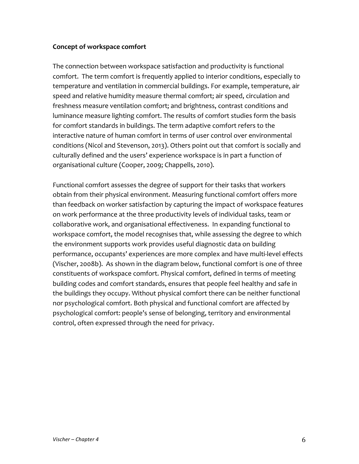## **Concept of workspace comfort**

The connection between workspace satisfaction and productivity is functional comfort. The term comfort is frequently applied to interior conditions, especially to temperature and ventilation in commercial buildings. For example, temperature, air speed and relative humidity measure thermal comfort; air speed, circulation and freshness measure ventilation comfort; and brightness, contrast conditions and luminance measure lighting comfort. The results of comfort studies form the basis for comfort standards in buildings. The term adaptive comfort refers to the interactive nature of human comfort in terms of user control over environmental conditions (Nicol and Stevenson, 2013). Others point out that comfort is socially and culturally defined and the users' experience workspace is in part a function of organisational culture (Cooper, 2009; Chappells, 2010).

Functional comfort assesses the degree of support for their tasks that workers obtain from their physical environment. Measuring functional comfort offers more than feedback on worker satisfaction by capturing the impact of workspace features on work performance at the three productivity levels of individual tasks, team or collaborative work, and organisational effectiveness. In expanding functional to workspace comfort, the model recognises that, while assessing the degree to which the environment supports work provides useful diagnostic data on building performance, occupants' experiences are more complex and have multi-level effects (Vischer, 2008b). As shown in the diagram below, functional comfort is one of three constituents of workspace comfort. Physical comfort, defined in terms of meeting building codes and comfort standards, ensures that people feel healthy and safe in the buildings they occupy. Without physical comfort there can be neither functional nor psychological comfort. Both physical and functional comfort are affected by psychological comfort: people's sense of belonging, territory and environmental control, often expressed through the need for privacy.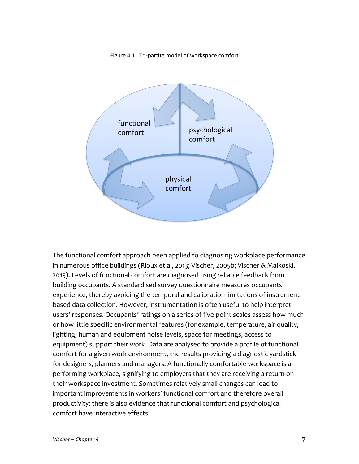Figure 4.1 Tri-partite model of workspace comfort



The functional comfort approach been applied to diagnosing workplace performance in numerous office buildings (Rioux et al, 2013; Vischer, 2005b; Vischer & Malkoski, 2015). Levels of functional comfort are diagnosed using reliable feedback from building occupants. A standardised survey questionnaire measures occupants' experience, thereby avoiding the temporal and calibration limitations of instrumentbased data collection. However, instrumentation is often useful to help interpret users' responses. Occupants' ratings on a series of five-point scales assess how much or how little specific environmental features (for example, temperature, air quality, lighting, human and equipment noise levels, space for meetings, access to equipment) support their work. Data are analysed to provide a profile of functional comfort for a given work environment, the results providing a diagnostic yardstick for designers, planners and managers. A functionally comfortable workspace is a performing workplace, signifying to employers that they are receiving a return on their workspace investment. Sometimes relatively small changes can lead to important improvements in workers' functional comfort and therefore overall productivity; there is also evidence that functional comfort and psychological comfort have interactive effects.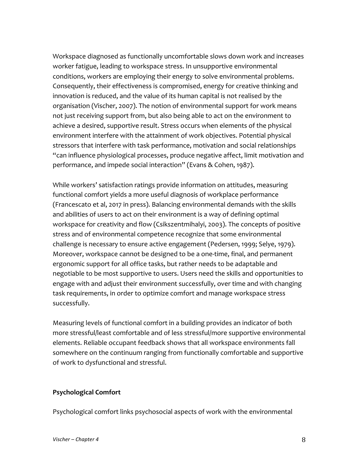Workspace diagnosed as functionally uncomfortable slows down work and increases worker fatigue, leading to workspace stress. In unsupportive environmental conditions, workers are employing their energy to solve environmental problems. Consequently, their effectiveness is compromised, energy for creative thinking and innovation is reduced, and the value of its human capital is not realised by the organisation (Vischer, 2007). The notion of environmental support for work means not just receiving support from, but also being able to act on the environment to achieve a desired, supportive result. Stress occurs when elements of the physical environment interfere with the attainment of work objectives. Potential physical stressors that interfere with task performance, motivation and social relationships "can influence physiological processes, produce negative affect, limit motivation and performance, and impede social interaction" (Evans & Cohen, 1987).

While workers' satisfaction ratings provide information on attitudes, measuring functional comfort yields a more useful diagnosis of workplace performance (Francescato et al, 2017 in press). Balancing environmental demands with the skills and abilities of users to act on their environment is a way of defining optimal workspace for creativity and flow (Csikszentmihalyi, 2003). The concepts of positive stress and of environmental competence recognize that some environmental challenge is necessary to ensure active engagement (Pedersen, 1999; Selye, 1979). Moreover, workspace cannot be designed to be a one-time, final, and permanent ergonomic support for all office tasks, but rather needs to be adaptable and negotiable to be most supportive to users. Users need the skills and opportunities to engage with and adjust their environment successfully, over time and with changing task requirements, in order to optimize comfort and manage workspace stress successfully.

Measuring levels of functional comfort in a building provides an indicator of both more stressful/least comfortable and of less stressful/more supportive environmental elements. Reliable occupant feedback shows that all workspace environments fall somewhere on the continuum ranging from functionally comfortable and supportive of work to dysfunctional and stressful.

#### **Psychological Comfort**

Psychological comfort links psychosocial aspects of work with the environmental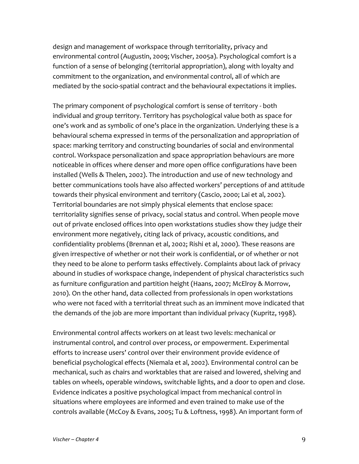design and management of workspace through territoriality, privacy and environmental control (Augustin, 2009; Vischer, 2005a). Psychological comfort is a function of a sense of belonging (territorial appropriation), along with loyalty and commitment to the organization, and environmental control, all of which are mediated by the socio-spatial contract and the behavioural expectations it implies.

The primary component of psychological comfort is sense of territory - both individual and group territory. Territory has psychological value both as space for one's work and as symbolic of one's place in the organization. Underlying these is a behavioural schema expressed in terms of the personalization and appropriation of space: marking territory and constructing boundaries of social and environmental control. Workspace personalization and space appropriation behaviours are more noticeable in offices where denser and more open office configurations have been installed (Wells & Thelen, 2002). The introduction and use of new technology and better communications tools have also affected workers' perceptions of and attitude towards their physical environment and territory (Cascio, 2000; Lai et al, 2002). Territorial boundaries are not simply physical elements that enclose space: territoriality signifies sense of privacy, social status and control. When people move out of private enclosed offices into open workstations studies show they judge their environment more negatively, citing lack of privacy, acoustic conditions, and confidentiality problems (Brennan et al, 2002; Rishi et al, 2000). These reasons are given irrespective of whether or not their work is confidential, or of whether or not they need to be alone to perform tasks effectively. Complaints about lack of privacy abound in studies of workspace change, independent of physical characteristics such as furniture configuration and partition height (Haans, 2007; McElroy & Morrow, 2010). On the other hand, data collected from professionals in open workstations who were not faced with a territorial threat such as an imminent move indicated that the demands of the job are more important than individual privacy (Kupritz, 1998).

Environmental control affects workers on at least two levels: mechanical or instrumental control, and control over process, or empowerment. Experimental efforts to increase users' control over their environment provide evidence of beneficial psychological effects (Niemala et al, 2002). Environmental control can be mechanical, such as chairs and worktables that are raised and lowered, shelving and tables on wheels, operable windows, switchable lights, and a door to open and close. Evidence indicates a positive psychological impact from mechanical control in situations where employees are informed and even trained to make use of the controls available (McCoy & Evans, 2005; Tu & Loftness, 1998). An important form of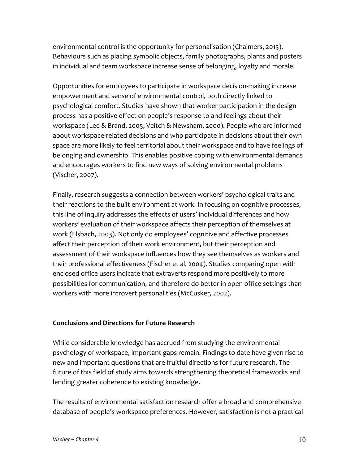environmental control is the opportunity for personalisation (Chalmers, 2015). Behaviours such as placing symbolic objects, family photographs, plants and posters in individual and team workspace increase sense of belonging, loyalty and morale.

Opportunities for employees to participate in workspace decision-making increase empowerment and sense of environmental control, both directly linked to psychological comfort. Studies have shown that worker participation in the design process has a positive effect on people's response to and feelings about their workspace (Lee & Brand, 2005; Veitch & Newsham, 2000). People who are informed about workspace-related decisions and who participate in decisions about their own space are more likely to feel territorial about their workspace and to have feelings of belonging and ownership. This enables positive coping with environmental demands and encourages workers to find new ways of solving environmental problems (Vischer, 2007).

Finally, research suggests a connection between workers' psychological traits and their reactions to the built environment at work. In focusing on cognitive processes, this line of inquiry addresses the effects of users' individual differences and how workers' evaluation of their workspace affects their perception of themselves at work (Elsbach, 2003). Not only do employees' cognitive and affective processes affect their perception of their work environment, but their perception and assessment of their workspace influences how they see themselves as workers and their professional effectiveness (Fischer et al, 2004). Studies comparing open with enclosed office users indicate that extraverts respond more positively to more possibilities for communication, and therefore do better in open office settings than workers with more introvert personalities (McCusker, 2002).

## **Conclusions and Directions for Future Research**

While considerable knowledge has accrued from studying the environmental psychology of workspace, important gaps remain. Findings to date have given rise to new and important questions that are fruitful directions for future research. The future of this field of study aims towards strengthening theoretical frameworks and lending greater coherence to existing knowledge.

The results of environmental satisfaction research offer a broad and comprehensive database of people's workspace preferences. However, satisfaction is not a practical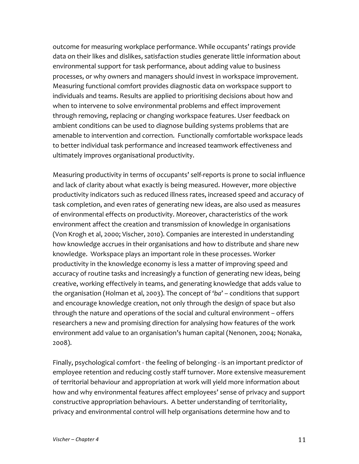outcome for measuring workplace performance. While occupants' ratings provide data on their likes and dislikes, satisfaction studies generate little information about environmental support for task performance, about adding value to business processes, or why owners and managers should invest in workspace improvement. Measuring functional comfort provides diagnostic data on workspace support to individuals and teams. Results are applied to prioritising decisions about how and when to intervene to solve environmental problems and effect improvement through removing, replacing or changing workspace features. User feedback on ambient conditions can be used to diagnose building systems problems that are amenable to intervention and correction. Functionally comfortable workspace leads to better individual task performance and increased teamwork effectiveness and ultimately improves organisational productivity.

Measuring productivity in terms of occupants' self-reports is prone to social influence and lack of clarity about what exactly is being measured. However, more objective productivity indicators such as reduced illness rates, increased speed and accuracy of task completion, and even rates of generating new ideas, are also used as measures of environmental effects on productivity. Moreover, characteristics of the work environment affect the creation and transmission of knowledge in organisations (Von Krogh et al, 2000; Vischer, 2010). Companies are interested in understanding how knowledge accrues in their organisations and how to distribute and share new knowledge. Workspace plays an important role in these processes. Worker productivity in the knowledge economy is less a matter of improving speed and accuracy of routine tasks and increasingly a function of generating new ideas, being creative, working effectively in teams, and generating knowledge that adds value to the organisation (Holman et al, 2003). The concept of '*ba*' – conditions that support and encourage knowledge creation, not only through the design of space but also through the nature and operations of the social and cultural environment – offers researchers a new and promising direction for analysing how features of the work environment add value to an organisation's human capital (Nenonen, 2004; Nonaka, 2008).

Finally, psychological comfort - the feeling of belonging - is an important predictor of employee retention and reducing costly staff turnover. More extensive measurement of territorial behaviour and appropriation at work will yield more information about how and why environmental features affect employees' sense of privacy and support constructive appropriation behaviours. A better understanding of territoriality, privacy and environmental control will help organisations determine how and to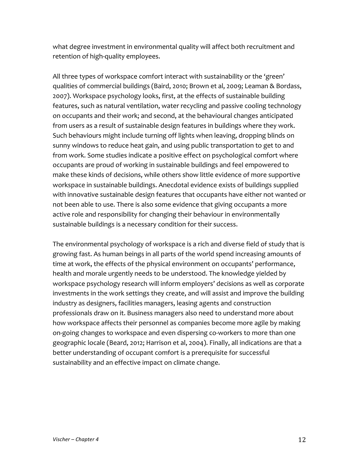what degree investment in environmental quality will affect both recruitment and retention of high-quality employees.

All three types of workspace comfort interact with sustainability or the 'green' qualities of commercial buildings (Baird, 2010; Brown et al, 2009; Leaman & Bordass, 2007). Workspace psychology looks, first, at the effects of sustainable building features, such as natural ventilation, water recycling and passive cooling technology on occupants and their work; and second, at the behavioural changes anticipated from users as a result of sustainable design features in buildings where they work. Such behaviours might include turning off lights when leaving, dropping blinds on sunny windows to reduce heat gain, and using public transportation to get to and from work. Some studies indicate a positive effect on psychological comfort where occupants are proud of working in sustainable buildings and feel empowered to make these kinds of decisions, while others show little evidence of more supportive workspace in sustainable buildings. Anecdotal evidence exists of buildings supplied with innovative sustainable design features that occupants have either not wanted or not been able to use. There is also some evidence that giving occupants a more active role and responsibility for changing their behaviour in environmentally sustainable buildings is a necessary condition for their success.

The environmental psychology of workspace is a rich and diverse field of study that is growing fast. As human beings in all parts of the world spend increasing amounts of time at work, the effects of the physical environment on occupants' performance, health and morale urgently needs to be understood. The knowledge yielded by workspace psychology research will inform employers' decisions as well as corporate investments in the work settings they create, and will assist and improve the building industry as designers, facilities managers, leasing agents and construction professionals draw on it. Business managers also need to understand more about how workspace affects their personnel as companies become more agile by making on-going changes to workspace and even dispersing co-workers to more than one geographic locale (Beard, 2012; Harrison et al, 2004). Finally, all indications are that a better understanding of occupant comfort is a prerequisite for successful sustainability and an effective impact on climate change.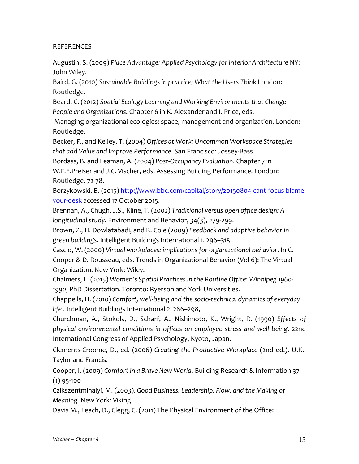# **REFERENCES**

Augustin, S. (2009) Place Advantage: Applied Psychology for Interior Architecture NY: John Wiley.

Baird, G. (2010) Sustainable Buildings in practice; What the Users Think London: Routledge.

Beard, C. (2012) Spatial Ecology Learning and Working Environments *that Change* People and Organizations. Chapter 6 in K. Alexander and I. Price, eds.

Managing organizational ecologies: space, management and organization. London: Routledge.

Becker, F., and Kelley, T. (2004) Offices at Work: Uncommon Workspace Strategies that add Value and Improve Performance. San Francisco: Jossey-Bass.

Bordass, B. and Leaman, A. (2004) Post-Occupancy Evaluation. Chapter 7 in

W.F.E.Preiser and J.C. Vischer, eds. Assessing Building Performance. London: Routledge. 72-78.

Borzykowski, B. (2015) http://www.bbc.com/capital/story/20150804-cant-focus-blameyour-desk accessed 17 October 2015.

Brennan, A., Chugh, J.S., Kline, T. (2002) *Traditional versus open office design: A longitudinal study.* Environment and Behavior, 34(3), 279-299.

Brown, Z., H. Dowlatabadi, and R. Cole (2009) Feedback and adaptive behavior in *green buildings*. Intelligent Buildings International 1. 296–315

Cascio, W. (2000) Virtual workplaces: implications for organizational behavior. In C. Cooper & D. Rousseau, eds. Trends in Organizational Behavior (Vol 6): The Virtual Organization. New York: Wiley.

Chalmers, L. (2015) Women's Spatial Practices in the Routine Office: Winnipeg 1960-1990, PhD Dissertation. Toronto: Ryerson and York Universities.

Chappells, H. (2010) Comfort, well-being and the socio-technical dynamics of everyday life . Intelligent Buildings International 2 286-298,

Churchman, A., Stokols, D., Scharf, A., Nishimoto, K., Wright, R. (1990) *Effects of physical environmental conditions in offices on employee stress and well being*. 22nd International Congress of Applied Psychology, Kyoto, Japan.

Clements-Croome, D., ed. (2006) Creating the Productive Workplace (2nd ed.). U.K., Taylor and Francis.

Cooper, I. (2009) Comfort in a Brave New World. Building Research & Information 37  $(1)$  95-100

Czikszentmihalyi, M. (2003). Good Business: Leadership, Flow, and the Making of *Meaning.* New York: Viking.

Davis M., Leach, D., Clegg, C. (2011) The Physical Environment of the Office: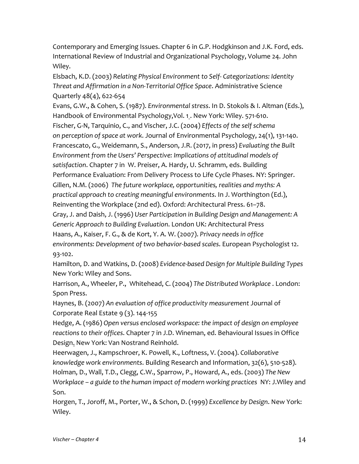Contemporary and Emerging Issues. Chapter 6 in G.P. Hodgkinson and J.K. Ford, eds. International Review of Industrial and Organizational Psychology, Volume 24. John Wiley. 

Elsbach, K.D. (2003) Relating Physical Environment to Self- Categorizations: Identity Threat and Affirmation in a Non-Territorial Office Space. Administrative Science Quarterly 48(4), 622-654

Evans, G.W., & Cohen, S. (1987). *Environmental stress*. In D. Stokols & I. Altman (Eds.), Handbook of Environmental Psychology, Vol. 1. New York: Wiley. 571-610. Fischer, G-N, Tarquinio, C., and Vischer, J.C. (2004) *Effects of the self schema* on perception of space at work. Journal of Environmental Psychology, 24(1), 131-140. Francescato, G., Weidemann, S., Anderson, J.R. (2017, in press) *Evaluating the Built* Environment from the Users' Perspective: Implications of attitudinal models of satisfaction. Chapter 7 in W. Preiser, A. Hardy, U. Schramm, eds. Building Performance Evaluation: From Delivery Process to Life Cycle Phases. NY: Springer. Gillen, N.M. (2006) *The future workplace, opportunities, realities and myths: A* practical approach to creating meaningful environments. In J. Worthington (Ed.), Reinventing the Workplace (2nd ed). Oxford: Architectural Press. 61-78. Gray, J. and Daish, J. (1996) User Participation in Building Design and Management: A Generic Approach to Building Evaluation. London UK: Architectural Press Haans, A., Kaiser, F. G., & de Kort, Y. A. W. (2007). Privacy needs in office *environments: Development of two behavior-based scales.* European Psychologist 12. 93-102.

Hamilton, D. and Watkins, D. (2008) Evidence-based Design for Multiple Building Types New York: Wiley and Sons.

Harrison, A., Wheeler, P., Whitehead, C. (2004) The Distributed Workplace. London: Spon Press.

Haynes, B. (2007) *An evaluation of office productivity measurement* Journal of Corporate Real Estate  $9(3)$ . 144-155

Hedge, A. (1986) Open versus enclosed workspace: the *impact* of design on employee reactions to their offices. Chapter 7 in J.D. Wineman, ed. Behavioural Issues in Office Design. New York: Van Nostrand Reinhold.

Heerwagen, J., Kampschroer, K. Powell, K., Loftness, V. (2004). *Collaborative* knowledge work environments. Building Research and Information, 32(6), 510-528). Holman, D., Wall, T.D., Clegg, C.W., Sparrow, P., Howard, A., eds. (2003) The New *Workplace* – *a* guide to the human impact of modern working practices NY: J.Wiley and Son.

Horgen, T., Joroff, M., Porter, W., & Schon, D. (1999) *Excellence by Design*. New York: Wiley.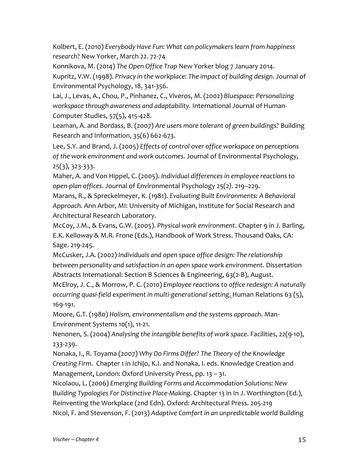Kolbert, E. (2010) Everybody Have Fun: What can policymakers learn from happiness research? New Yorker, March 22. 72-74

Konnikova, M. (2014) The Open Office Trap New Yorker blog 7 January 2014.

Kupritz, V.W. (1998). Privacy in the workplace: The impact of building design. Journal of Environmental Psychology, 18. 341-356.

Lai, J., Levas, A., Chou, P., Pinhanez, C., Viveros, M. (2002) *Bluespace: Personalizing* workspace through awareness and adaptability. International Journal of Human-Computer Studies, 57(5), 415-428.

Leaman, A. and Bordass, B. (2007) Are users more tolerant of green buildings? Building Research and Information,  $35(6)$  662-673.

Lee, S.Y. and Brand, J. (2005) *Effects* of control over office workspace on perceptions of the work environment and work outcomes. Journal of Environmental Psychology, 25(3), 323-333.

Maher, A. and Von Hippel, C. (2005). Individual differences in employee reactions to *open-plan offices*. Journal of Environmental Psychology 25(2*)*. 219–229.

Marans, R., & Spreckelmeyer, K. (1981). *Evaluating Built Environments: A Behavioral* Approach. Ann Arbor, MI: University of Michigan, Institute for Social Research and Architectural Research Laboratory.

McCoy, J.M., & Evans, G.W. (2005). Physical work environment. Chapter 9 in J. Barling, E.K. Kelloway & M.R. Frone (Eds.), Handbook of Work Stress. Thousand Oaks, CA: Sage. 219-245.

McCusker, J.A. (2002) *Individuals and open space office design: The relationship*  between personality and satisfaction in an open space work environment. Dissertation Abstracts International: Section B Sciences & Engineering, 63(2-B), August.

McElroy, J. C., & Morrow, P. C. (2010) *Employee reactions to office redesign:* A naturally occurring quasi-field experiment in multi-generational setting. Human Relations 63 (5), 169-191.

Moore, G.T. (1980) Holism, environmentalism and the systems approach. Man-Environment Systems 10(1), 11-21.

Nenonen, S. (2004) *Analysing the intangible benefits of work space*. Facilities, 22(9-10), 233-239.

Nonaka, I., R. Toyama (2007) Why Do Firms Differ? The Theory of the Knowledge *Creating Firm.* Chapter 1 in Ichijo, K.I. and Nonaka, I. eds. Knowledge Creation and Management, London: Oxford University Press, pp. 13 - 31.

Nicolaou, L. (2006) Emerging Building Forms and Accommodation Solutions: New *Building Typologies For Distinctive Place-Making. Chapter 13 in In J. Worthington (Ed.),* Reinventing the Workplace (2nd Edn). Oxford: Architectural Press. 205-219 Nicol, F. and Stevenson, F. (2013) Adaptive Comfort in an unpredictable world Building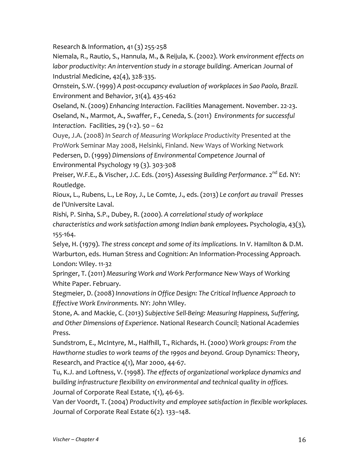Research & Information,  $41(3)$  255-258

Niemala, R., Rautio, S., Hannula, M., & Reijula, K. (2002). Work environment effects on labor productivity: An intervention study in a storage building. American Journal of Industrial Medicine,  $42(4)$ ,  $328-335$ .

Ornstein, S.W. (1999) A post-occupancy evaluation of workplaces in Sao Paolo, Brazil. Environment and Behavior, 31(4), 435-462

Oseland, N. (2009) Enhancing Interaction. Facilities Management. November. 22-23. Oseland, N., Marmot, A., Swaffer, F., Ceneda, S. (2011) Environments for successful *Interaction.* Facilities, 29 (1-2). 50 - 62

Ouye, J.A. (2008) In Search of Measuring Workplace Productivity Presented at the ProWork Seminar May 2008, Helsinki, Finland. New Ways of Working Network Pedersen, D. (1999) Dimensions of Environmental Competence Journal of Environmental Psychology 19 $(3)$ . 303-308

Preiser, W.F.E., & Vischer, J.C. Eds. (2015) Assessing Building Performance. 2<sup>nd</sup> Ed. NY: Routledge.

Rioux, L., Rubens, L., Le Roy, J., Le Comte, J., eds. (2013) Le confort au travail Presses de l'Universite Laval.

Rishi, P. Sinha, S.P., Dubey, R. (2000). A correlational study of workplace *characteristics and work satisfaction among Indian bank employees.* Psychologia, 43(3), 155-164.

Selye, H. (1979). The stress concept and some of its implications. In V. Hamilton & D.M. Warburton, eds. Human Stress and Cognition: An Information-Processing Approach. London: Wiley. 11-32

Springer, T. (2011) Measuring Work and Work Performance New Ways of Working White Paper. February.

Stegmeier, D. (2008) Innovations in Office Design: The Critical Influence Approach to **Effective Work Environments. NY: John Wiley.** 

Stone, A. and Mackie, C. (2013) Subjective Sell-Being: Measuring Happiness, Suffering, *and Other Dimensions of Experience*. National Research Council: National Academies Press.

Sundstrom, E., McIntyre, M., Halfhill, T., Richards, H. (2000) Work groups: From the Hawthorne studies to work teams of the 1990s and beyond. Group Dynamics: Theory, Research, and Practice  $4(1)$ , Mar 2000, 44-67.

Tu, K.J. and Loftness, V. (1998). The effects of organizational workplace dynamics and building infrastructure flexibility on environmental and technical quality in offices. Journal of Corporate Real Estate, 1(1), 46-63.

Van der Voordt, T. (2004) Productivity and employee satisfaction in flexible workplaces. Journal of Corporate Real Estate  $6(2)$ . 133-148.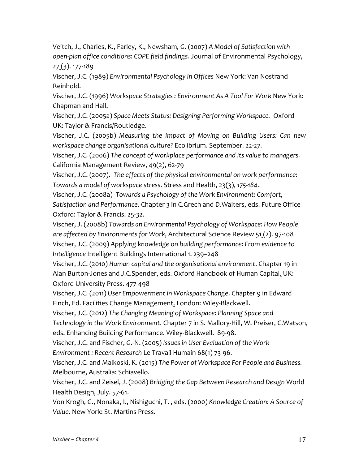Veitch, J., Charles, K., Farley, K., Newsham, G. (2007) A Model of Satisfaction with *open-plan office conditions: COPE field findings.* Journal of Environmental Psychology, 27 (3). 177-189

Vischer, J.C. (1989) Environmental Psychology in Offices New York: Van Nostrand Reinhold.

Vischer, J.C. (1996) *Workspace Strategies: Environment As A Tool For Work New York:* Chapman and Hall.

Vischer, J.C. (2005a) Space Meets Status: Designing Performing Workspace. Oxford UK: Taylor & Francis/Routledge.

Vischer, J.C. (2005b) Measuring the Impact of Moving on Building Users: Can new *workspace change organisational culture?* Ecolibrium. September. 22-27.

Vischer, J.C. (2006) The concept of workplace performance and its value to managers. California Management Review, 49(2), 62-79

Vischer, J.C. (2007). The effects of the physical environmental on work performance: *Towards a model of workspace stress*. Stress and Health, 23(3), *175-184*.

Vischer, J.C. (2008a) Towards a Psychology of the Work Environment: Comfort, Satisfaction and Performance. Chapter 3 in C.Grech and D.Walters, eds. Future Office Oxford: Taylor & Francis. 25-32.

Vischer, J. (2008b) Towards an Environmental Psychology of Workspace: How People are affected by Environments for Work, Architectural Science Review 51(2). 97-108 Vischer, J.C. (2009) Applying knowledge on building performance: From evidence to Intelligence Intelligent Buildings International 1. 239-248

Vischer, J.C. (2010) Human capital and the organisational environment. Chapter 19 in Alan Burton-Jones and J.C.Spender, eds. Oxford Handbook of Human Capital. UK: Oxford University Press. 477-498

Vischer, J.C. (2011) User Empowerment in Workspace Change. Chapter 9 in Edward Finch, Ed. Facilities Change Management. London: Wiley-Blackwell.

Vischer, J.C. (2012) The Changing Meaning of Workspace: Planning Space and Technology in the Work Environment. Chapter 7 in S. Mallory-Hill, W. Preiser, C.Watson, eds. Enhancing Building Performance. Wiley-Blackwell. 89-98.

Vischer, J.C. and Fischer, G.-N. (2005) Issues in User Evaluation of the Work

Environment : Recent Research Le Travail Humain 68(1) 73-96.

Vischer, J.C. and Malkoski, K. (2015) The Power of Workspace For People and Business. Melbourne, Australia: Schiavello.

Vischer, J.C. and Zeisel, J. (2008) Bridging the Gap Between Research and Design World Health Design, July. 57-61.

Von Krogh, G., Nonaka, I., Nishiguchi, T., eds. (2000) *Knowledge Creation: A Source of* Value. New York: St. Martins Press.